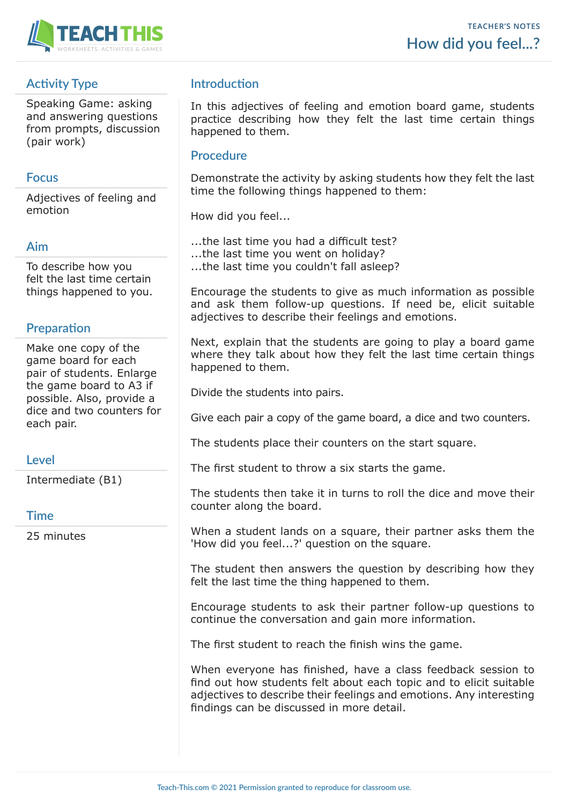

# **Activity Type**

Speaking Game: asking and answering questions from prompts, discussion (pair work)

## **Focus**

Adjectives of feeling and emotion

## **Aim**

To describe how you felt the last time certain things happened to you.

## **Preparation**

Make one copy of the game board for each pair of students. Enlarge the game board to A3 if possible. Also, provide a dice and two counters for each pair.

# **Level**

Intermediate (B1)

### **Time**

25 minutes

# **Introduction**

In this adjectives of feeling and emotion board game, students practice describing how they felt the last time certain things happened to them.

### **Procedure**

Demonstrate the activity by asking students how they felt the last time the following things happened to them:

How did you feel...

- ...the last time you had a difficult test?
- ...the last time you went on holiday?

...the last time you couldn't fall asleep?

Encourage the students to give as much information as possible and ask them follow-up questions. If need be, elicit suitable adjectives to describe their feelings and emotions.

Next, explain that the students are going to play a board game where they talk about how they felt the last time certain things happened to them.

Divide the students into pairs.

Give each pair a copy of the game board, a dice and two counters.

The students place their counters on the start square.

The first student to throw a six starts the game.

The students then take it in turns to roll the dice and move their counter along the board.

When a student lands on a square, their partner asks them the 'How did you feel...?' question on the square.

The student then answers the question by describing how they felt the last time the thing happened to them.

Encourage students to ask their partner follow-up questions to continue the conversation and gain more information.

The first student to reach the finish wins the game.

When everyone has finished, have a class feedback session to find out how students felt about each topic and to elicit suitable adjectives to describe their feelings and emotions. Any interesting findings can be discussed in more detail.